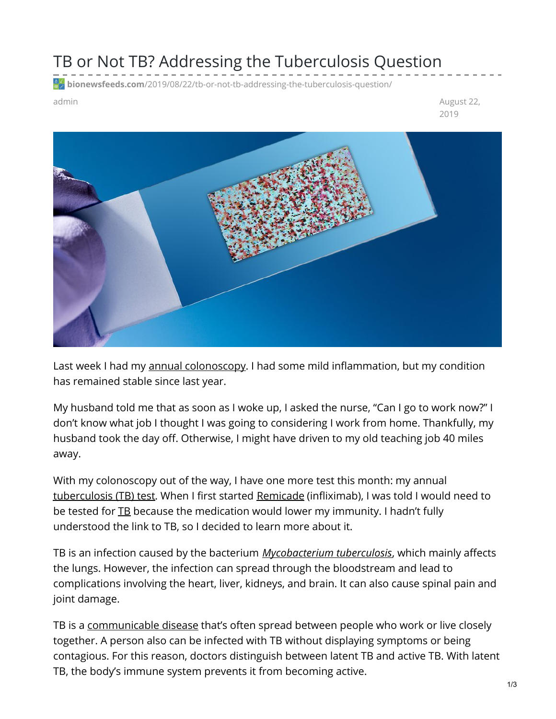## TB or Not TB? Addressing the Tuberculosis Question

**bionewsfeeds.com**[/2019/08/22/tb-or-not-tb-addressing-the-tuberculosis-question/](https://bionewsfeeds.com/2019/08/22/tb-or-not-tb-addressing-the-tuberculosis-question/)

admin August 22, 2019



Last week I had my annual [colonoscopy](https://ibdnewstoday.com/2019/08/15/colonoscopy-prep-foods-diet-preventive-medicine/). I had some mild inflammation, but my condition has remained stable since last year.

My husband told me that as soon as I woke up, I asked the nurse, "Can I go to work now?" I don't know what job I thought I was going to considering I work from home. Thankfully, my husband took the day off. Otherwise, I might have driven to my old teaching job 40 miles away.

With my colonoscopy out of the way, I have one more test this month: my annual [tuberculosis](https://www.cdc.gov/tb/publications/factsheets/testing/tb_testing.htm) (TB) test. When I first started [Remicade](https://medlineplus.gov/druginfo/meds/a604023.html) (infliximab), I was told I would need to be tested for **[TB](https://www.mayoclinic.org/diseases-conditions/tuberculosis/symptoms-causes/syc-20351250)** because the medication would lower my immunity. I hadn't fully understood the link to TB, so I decided to learn more about it.

TB is an infection caused by the bacterium *[Mycobacterium](https://www.sciencedirect.com/topics/medicine-and-dentistry/mycobacterium-tuberculosis) tuberculosis*, which mainly affects the lungs. However, the infection can spread through the bloodstream and lead to complications involving the heart, liver, kidneys, and brain. It can also cause spinal pain and joint damage.

TB is a [communicable](http://www.acphd.org/communicable-disease.aspx) disease that's often spread between people who work or live closely together. A person also can be infected with TB without displaying symptoms or being contagious. For this reason, doctors distinguish between latent TB and active TB. With latent TB, the body's immune system prevents it from becoming active.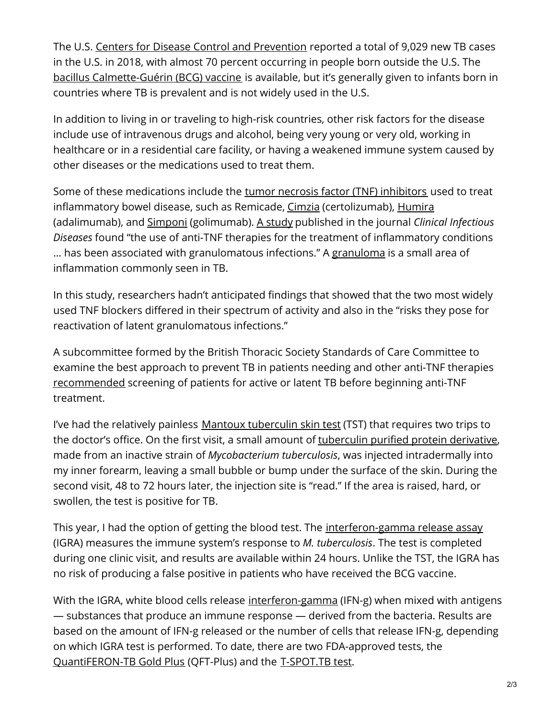The U.S. Centers for Disease Control and [Prevention](https://www.cdc.gov/mmwr/volumes/68/wr/mm6811a2.htm?s_cid=mm6811a2_w) reported a total of 9,029 new TB cases in the U.S. in 2018, with almost 70 percent occurring in people born outside the U.S. The bacillus [Calmette-Guérin](https://www.cdc.gov/tb/topic/basics/vaccines.htm) (BCG) vaccine is available, but it's generally given to infants born in countries where TB is prevalent and is not widely used in the U.S.

In addition to living in or traveling to high-risk countries, other risk factors for the disease include use of intravenous drugs and alcohol, being very young or very old, working in healthcare or in a residential care facility, or having a weakened immune system caused by other diseases or the medications used to treat them.

Some of these medications include the tumor necrosis factor (TNF) [inhibitors](https://www.ncbi.nlm.nih.gov/pmc/articles/PMC4296073/) used to treat inflammatory bowel disease, such as Remicade, [Cimzia](https://medlineplus.gov/druginfo/meds/a608041.html) (certolizumab), [Humira](https://ibdnewstoday.com/ibd-treatment/humira-adalimumab/) (adalimumab), and [Simponi](https://medlineplus.gov/druginfo/meds/a610010.html) (golimumab). A [study](https://academic.oup.com/cid/article/41/Supplement_3/S194/368817) published in the journal *Clinical Infectious Diseases* found "the use of anti-TNF therapies for the treatment of inflammatory conditions ... has been associated with [granuloma](https://www.ncbi.nlm.nih.gov/pmc/articles/PMC3538277/)tous infections." A granuloma is a small area of inflammation commonly seen in TB.

In this study, researchers hadn't anticipated findings that showed that the two most widely used TNF blockers differed in their spectrum of activity and also in the "risks they pose for reactivation of latent granulomatous infections."

A subcommittee formed by the British Thoracic Society Standards of Care Committee to examine the best approach to prevent TB in patients needing and other anti-TNF therapies [recommended](https://gut.bmj.com/content/54/10/1360) screening of patients for active or latent TB before beginning anti-TNF treatment.

I've had the relatively painless Mantoux [tuberculin](https://www.cdc.gov/tb/publications/factsheets/testing/skintesting.htm) skin test (TST) that requires two trips to the doctor's office. On the first visit, a small amount of [tuberculin](https://www.mayoclinic.org/drugs-supplements/tuberculin-intradermal-route/description/drg-20066571) purified protein derivative, made from an inactive strain of *Mycobacterium tuberculosis*, was injected intradermally into my inner forearm, leaving a small bubble or bump under the surface of the skin. During the second visit, 48 to 72 hours later, the injection site is "read." If the area is raised, hard, or swollen, the test is positive for TB.

This year, I had the option of getting the blood test. The [interferon-gamma](https://www.cdc.gov/tb/publications/factsheets/testing/igra.htm) release assay (IGRA) measures the immune system's response to *M. tuberculosis*. The test is completed during one clinic visit, and results are available within 24 hours. Unlike the TST, the IGRA has no risk of producing a false positive in patients who have received the BCG vaccine.

With the IGRA, white blood cells release [interferon-gamma](https://www.ncbi.nlm.nih.gov/gene/3458) (IFN-g) when mixed with antigens — substances that produce an immune response — derived from the bacteria. Results are based on the amount of IFN-g released or the number of cells that release IFN-g, depending on which IGRA test is performed. To date, there are two FDA-approved tests, the [QuantiFERON-TB](https://www.quantiferon.com/us/) Gold Plus (QFT-Plus) and the [T-SPOT.TB](http://www.tspot.com/) test.